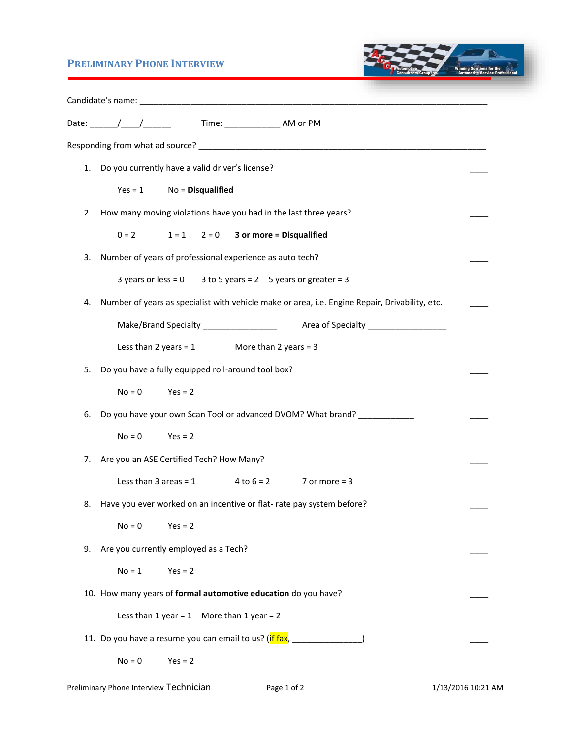## **PRELIMINARY PHONE INTERVIEW**



|    |                                                                  |                                                    | Time: _________________ AM or PM                                                               |  |  |
|----|------------------------------------------------------------------|----------------------------------------------------|------------------------------------------------------------------------------------------------|--|--|
|    |                                                                  |                                                    |                                                                                                |  |  |
| 1. | Do you currently have a valid driver's license?                  |                                                    |                                                                                                |  |  |
|    | $Yes = 1$                                                        | $No = Disqualified$                                |                                                                                                |  |  |
| 2. | How many moving violations have you had in the last three years? |                                                    |                                                                                                |  |  |
|    |                                                                  |                                                    | $0 = 2$ $1 = 1$ $2 = 0$ 3 or more = Disqualified                                               |  |  |
| 3. | Number of years of professional experience as auto tech?         |                                                    |                                                                                                |  |  |
|    |                                                                  |                                                    | 3 years or less = $0$ 3 to 5 years = $2$ 5 years or greater = 3                                |  |  |
| 4. |                                                                  |                                                    | Number of years as specialist with vehicle make or area, i.e. Engine Repair, Drivability, etc. |  |  |
|    |                                                                  |                                                    |                                                                                                |  |  |
|    |                                                                  |                                                    | Less than $2$ years = 1 More than $2$ years = 3                                                |  |  |
| 5. |                                                                  | Do you have a fully equipped roll-around tool box? |                                                                                                |  |  |
|    | $No = 0$                                                         | $Yes = 2$                                          |                                                                                                |  |  |
| 6. |                                                                  |                                                    | Do you have your own Scan Tool or advanced DVOM? What brand? ___________                       |  |  |
|    | $No = 0$                                                         | $Yes = 2$                                          |                                                                                                |  |  |
| 7. |                                                                  | Are you an ASE Certified Tech? How Many?           |                                                                                                |  |  |
|    |                                                                  |                                                    | Less than $3 \text{ areas} = 1$ $4 \text{ to } 6 = 2$ $7 \text{ or more} = 3$                  |  |  |
| 8. |                                                                  |                                                    | Have you ever worked on an incentive or flat-rate pay system before?                           |  |  |
|    | $No = 0$                                                         | $Yes = 2$                                          |                                                                                                |  |  |
| 9. |                                                                  | Are you currently employed as a Tech?              |                                                                                                |  |  |
|    | $No = 1$                                                         | $Yes = 2$                                          |                                                                                                |  |  |
|    |                                                                  |                                                    | 10. How many years of formal automotive education do you have?                                 |  |  |
|    |                                                                  | Less than $1$ year = 1 More than $1$ year = 2      |                                                                                                |  |  |
|    |                                                                  |                                                    | 11. Do you have a resume you can email to us? (if fax, __________                              |  |  |
|    | $No = 0$                                                         | $Yes = 2$                                          |                                                                                                |  |  |